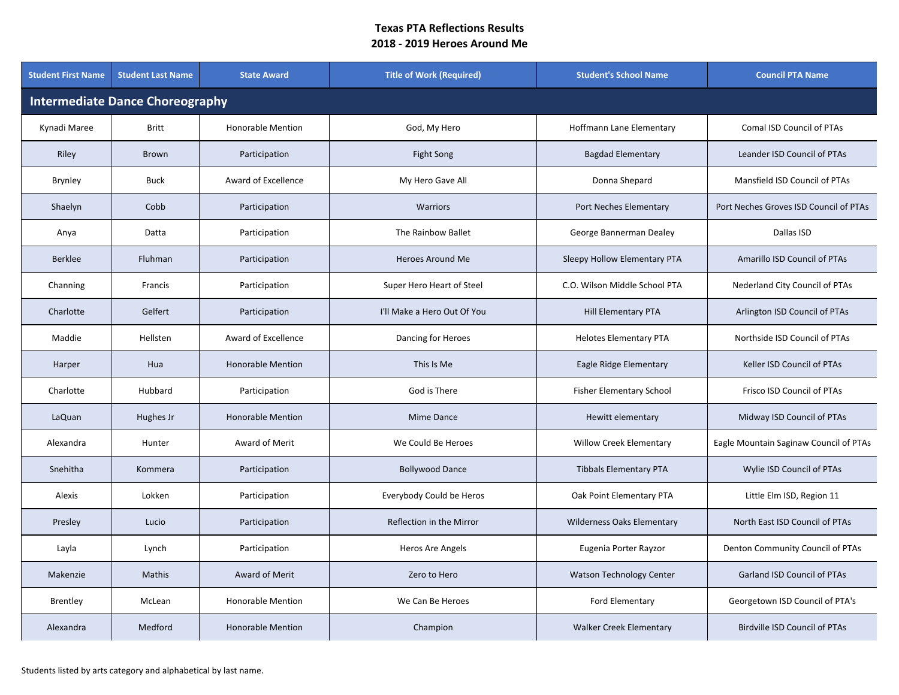| <b>Student First Name</b>              | <b>Student Last Name</b> | <b>State Award</b>       | <b>Title of Work (Required)</b> | <b>Student's School Name</b>      | <b>Council PTA Name</b>                |  |  |  |
|----------------------------------------|--------------------------|--------------------------|---------------------------------|-----------------------------------|----------------------------------------|--|--|--|
| <b>Intermediate Dance Choreography</b> |                          |                          |                                 |                                   |                                        |  |  |  |
| Kynadi Maree                           | <b>Britt</b>             | <b>Honorable Mention</b> | God, My Hero                    | Hoffmann Lane Elementary          | Comal ISD Council of PTAs              |  |  |  |
| Riley                                  | <b>Brown</b>             | Participation            | Fight Song                      | <b>Bagdad Elementary</b>          | Leander ISD Council of PTAs            |  |  |  |
| <b>Brynley</b>                         | <b>Buck</b>              | Award of Excellence      | My Hero Gave All                | Donna Shepard                     | Mansfield ISD Council of PTAs          |  |  |  |
| Shaelyn                                | Cobb                     | Participation            | Warriors                        | Port Neches Elementary            | Port Neches Groves ISD Council of PTAs |  |  |  |
| Anya                                   | Datta                    | Participation            | The Rainbow Ballet              | George Bannerman Dealey           | Dallas ISD                             |  |  |  |
| <b>Berklee</b>                         | Fluhman                  | Participation            | <b>Heroes Around Me</b>         | Sleepy Hollow Elementary PTA      | Amarillo ISD Council of PTAs           |  |  |  |
| Channing                               | Francis                  | Participation            | Super Hero Heart of Steel       | C.O. Wilson Middle School PTA     | Nederland City Council of PTAs         |  |  |  |
| Charlotte                              | Gelfert                  | Participation            | I'll Make a Hero Out Of You     | Hill Elementary PTA               | Arlington ISD Council of PTAs          |  |  |  |
| Maddie                                 | Hellsten                 | Award of Excellence      | Dancing for Heroes              | <b>Helotes Elementary PTA</b>     | Northside ISD Council of PTAs          |  |  |  |
| Harper                                 | Hua                      | <b>Honorable Mention</b> | This Is Me                      | Eagle Ridge Elementary            | Keller ISD Council of PTAs             |  |  |  |
| Charlotte                              | Hubbard                  | Participation            | God is There                    | <b>Fisher Elementary School</b>   | Frisco ISD Council of PTAs             |  |  |  |
| LaQuan                                 | Hughes Jr                | <b>Honorable Mention</b> | Mime Dance                      | Hewitt elementary                 | Midway ISD Council of PTAs             |  |  |  |
| Alexandra                              | Hunter                   | Award of Merit           | We Could Be Heroes              | <b>Willow Creek Elementary</b>    | Eagle Mountain Saginaw Council of PTAs |  |  |  |
| Snehitha                               | Kommera                  | Participation            | <b>Bollywood Dance</b>          | <b>Tibbals Elementary PTA</b>     | Wylie ISD Council of PTAs              |  |  |  |
| Alexis                                 | Lokken                   | Participation            | Everybody Could be Heros        | Oak Point Elementary PTA          | Little Elm ISD, Region 11              |  |  |  |
| Presley                                | Lucio                    | Participation            | Reflection in the Mirror        | <b>Wilderness Oaks Elementary</b> | North East ISD Council of PTAs         |  |  |  |
| Layla                                  | Lynch                    | Participation            | Heros Are Angels                | Eugenia Porter Rayzor             | Denton Community Council of PTAs       |  |  |  |
| Makenzie                               | Mathis                   | Award of Merit           | Zero to Hero                    | <b>Watson Technology Center</b>   | <b>Garland ISD Council of PTAs</b>     |  |  |  |
| Brentley                               | McLean                   | <b>Honorable Mention</b> | We Can Be Heroes                | Ford Elementary                   | Georgetown ISD Council of PTA's        |  |  |  |
| Alexandra                              | Medford                  | <b>Honorable Mention</b> | Champion                        | <b>Walker Creek Elementary</b>    | <b>Birdville ISD Council of PTAs</b>   |  |  |  |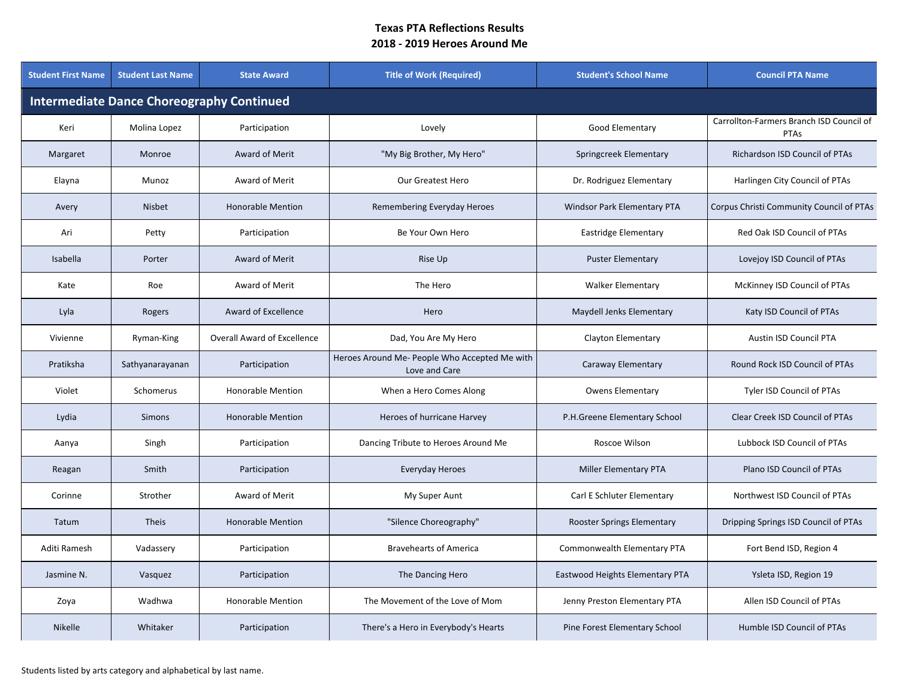| <b>Student First Name</b>                        | <b>Student Last Name</b> | <b>State Award</b>                 | <b>Title of Work (Required)</b>                                | <b>Student's School Name</b>    | <b>Council PTA Name</b>                          |  |  |  |  |
|--------------------------------------------------|--------------------------|------------------------------------|----------------------------------------------------------------|---------------------------------|--------------------------------------------------|--|--|--|--|
| <b>Intermediate Dance Choreography Continued</b> |                          |                                    |                                                                |                                 |                                                  |  |  |  |  |
| Keri                                             | Molina Lopez             | Participation                      | Lovely                                                         | Good Elementary                 | Carrollton-Farmers Branch ISD Council of<br>PTAs |  |  |  |  |
| Margaret                                         | Monroe                   | Award of Merit                     | "My Big Brother, My Hero"                                      | Springcreek Elementary          | Richardson ISD Council of PTAs                   |  |  |  |  |
| Elayna                                           | Munoz                    | Award of Merit                     | Our Greatest Hero                                              | Dr. Rodriguez Elementary        | Harlingen City Council of PTAs                   |  |  |  |  |
| Avery                                            | <b>Nisbet</b>            | <b>Honorable Mention</b>           | Remembering Everyday Heroes                                    | Windsor Park Elementary PTA     | Corpus Christi Community Council of PTAs         |  |  |  |  |
| Ari                                              | Petty                    | Participation                      | Be Your Own Hero                                               | Eastridge Elementary            | Red Oak ISD Council of PTAs                      |  |  |  |  |
| Isabella                                         | Porter                   | Award of Merit                     | Rise Up                                                        | <b>Puster Elementary</b>        | Lovejoy ISD Council of PTAs                      |  |  |  |  |
| Kate                                             | Roe                      | Award of Merit                     | The Hero                                                       | <b>Walker Elementary</b>        | McKinney ISD Council of PTAs                     |  |  |  |  |
| Lyla                                             | Rogers                   | Award of Excellence                | Hero                                                           | Maydell Jenks Elementary        | Katy ISD Council of PTAs                         |  |  |  |  |
| Vivienne                                         | Ryman-King               | <b>Overall Award of Excellence</b> | Dad, You Are My Hero                                           | Clayton Elementary              | Austin ISD Council PTA                           |  |  |  |  |
| Pratiksha                                        | Sathyanarayanan          | Participation                      | Heroes Around Me- People Who Accepted Me with<br>Love and Care | Caraway Elementary              | Round Rock ISD Council of PTAs                   |  |  |  |  |
| Violet                                           | Schomerus                | <b>Honorable Mention</b>           | When a Hero Comes Along                                        | <b>Owens Elementary</b>         | Tyler ISD Council of PTAs                        |  |  |  |  |
| Lydia                                            | <b>Simons</b>            | <b>Honorable Mention</b>           | Heroes of hurricane Harvey                                     | P.H.Greene Elementary School    | Clear Creek ISD Council of PTAs                  |  |  |  |  |
| Aanya                                            | Singh                    | Participation                      | Dancing Tribute to Heroes Around Me                            | Roscoe Wilson                   | Lubbock ISD Council of PTAs                      |  |  |  |  |
| Reagan                                           | Smith                    | Participation                      | Everyday Heroes                                                | Miller Elementary PTA           | Plano ISD Council of PTAs                        |  |  |  |  |
| Corinne                                          | Strother                 | Award of Merit                     | My Super Aunt                                                  | Carl E Schluter Elementary      | Northwest ISD Council of PTAs                    |  |  |  |  |
| Tatum                                            | <b>Theis</b>             | <b>Honorable Mention</b>           | "Silence Choreography"                                         | Rooster Springs Elementary      | Dripping Springs ISD Council of PTAs             |  |  |  |  |
| Aditi Ramesh                                     | Vadassery                | Participation                      | <b>Bravehearts of America</b>                                  | Commonwealth Elementary PTA     | Fort Bend ISD, Region 4                          |  |  |  |  |
| Jasmine N.                                       | Vasquez                  | Participation                      | The Dancing Hero                                               | Eastwood Heights Elementary PTA | Ysleta ISD, Region 19                            |  |  |  |  |
| Zoya                                             | Wadhwa                   | <b>Honorable Mention</b>           | The Movement of the Love of Mom                                | Jenny Preston Elementary PTA    | Allen ISD Council of PTAs                        |  |  |  |  |
| <b>Nikelle</b>                                   | Whitaker                 | Participation                      | There's a Hero in Everybody's Hearts                           | Pine Forest Elementary School   | Humble ISD Council of PTAs                       |  |  |  |  |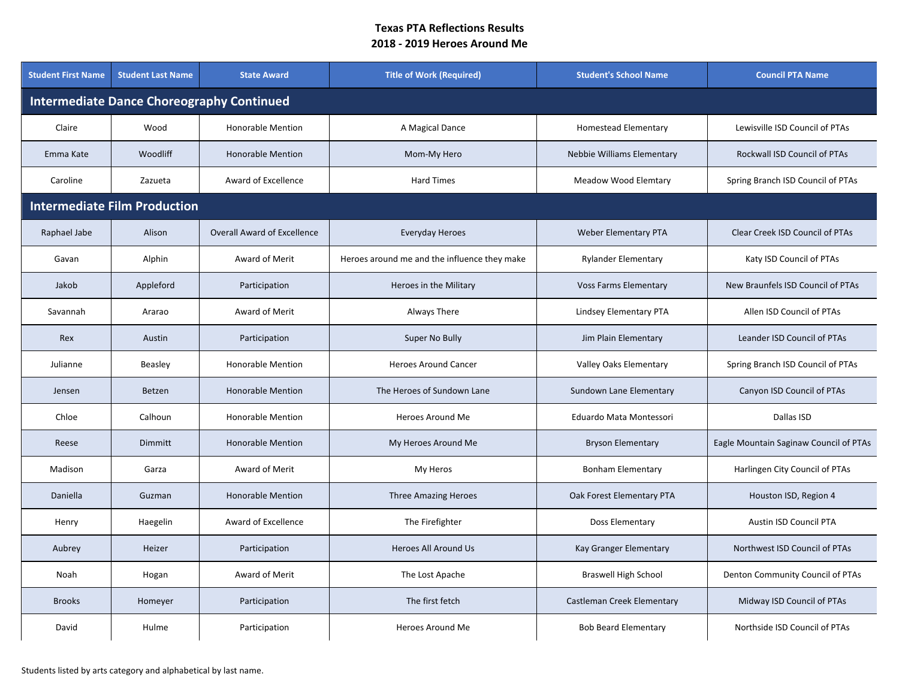| <b>Student First Name</b>                        | <b>Student Last Name</b>            | <b>State Award</b>                 | <b>Title of Work (Required)</b>              | <b>Student's School Name</b> | <b>Council PTA Name</b>                |  |  |  |  |
|--------------------------------------------------|-------------------------------------|------------------------------------|----------------------------------------------|------------------------------|----------------------------------------|--|--|--|--|
| <b>Intermediate Dance Choreography Continued</b> |                                     |                                    |                                              |                              |                                        |  |  |  |  |
| Claire                                           | Wood                                | Honorable Mention                  | A Magical Dance                              | Homestead Elementary         | Lewisville ISD Council of PTAs         |  |  |  |  |
| Emma Kate                                        | Woodliff                            | <b>Honorable Mention</b>           | Mom-My Hero                                  | Nebbie Williams Elementary   | Rockwall ISD Council of PTAs           |  |  |  |  |
| Caroline                                         | Zazueta                             | Award of Excellence                | <b>Hard Times</b>                            | <b>Meadow Wood Elemtary</b>  | Spring Branch ISD Council of PTAs      |  |  |  |  |
|                                                  | <b>Intermediate Film Production</b> |                                    |                                              |                              |                                        |  |  |  |  |
| Raphael Jabe                                     | Alison                              | <b>Overall Award of Excellence</b> | Everyday Heroes                              | <b>Weber Elementary PTA</b>  | Clear Creek ISD Council of PTAs        |  |  |  |  |
| Gavan                                            | Alphin                              | Award of Merit                     | Heroes around me and the influence they make | <b>Rylander Elementary</b>   | Katy ISD Council of PTAs               |  |  |  |  |
| Jakob                                            | Appleford                           | Participation                      | Heroes in the Military                       | <b>Voss Farms Elementary</b> | New Braunfels ISD Council of PTAs      |  |  |  |  |
| Savannah                                         | Ararao                              | Award of Merit                     | Always There                                 | Lindsey Elementary PTA       | Allen ISD Council of PTAs              |  |  |  |  |
| Rex                                              | Austin                              | Participation                      | Super No Bully                               | Jim Plain Elementary         | Leander ISD Council of PTAs            |  |  |  |  |
| Julianne                                         | Beasley                             | <b>Honorable Mention</b>           | <b>Heroes Around Cancer</b>                  | Valley Oaks Elementary       | Spring Branch ISD Council of PTAs      |  |  |  |  |
| Jensen                                           | Betzen                              | <b>Honorable Mention</b>           | The Heroes of Sundown Lane                   | Sundown Lane Elementary      | Canyon ISD Council of PTAs             |  |  |  |  |
| Chloe                                            | Calhoun                             | Honorable Mention                  | Heroes Around Me                             | Eduardo Mata Montessori      | Dallas ISD                             |  |  |  |  |
| Reese                                            | Dimmitt                             | <b>Honorable Mention</b>           | My Heroes Around Me                          | <b>Bryson Elementary</b>     | Eagle Mountain Saginaw Council of PTAs |  |  |  |  |
| Madison                                          | Garza                               | Award of Merit                     | My Heros                                     | <b>Bonham Elementary</b>     | Harlingen City Council of PTAs         |  |  |  |  |
| Daniella                                         | Guzman                              | <b>Honorable Mention</b>           | <b>Three Amazing Heroes</b>                  | Oak Forest Elementary PTA    | Houston ISD, Region 4                  |  |  |  |  |
| Henry                                            | Haegelin                            | Award of Excellence                | The Firefighter                              | Doss Elementary              | Austin ISD Council PTA                 |  |  |  |  |
| Aubrey                                           | Heizer                              | Participation                      | <b>Heroes All Around Us</b>                  | Kay Granger Elementary       | Northwest ISD Council of PTAs          |  |  |  |  |
| Noah                                             | Hogan                               | Award of Merit                     | The Lost Apache                              | <b>Braswell High School</b>  | Denton Community Council of PTAs       |  |  |  |  |
| <b>Brooks</b>                                    | Homeyer                             | Participation                      | The first fetch                              | Castleman Creek Elementary   | Midway ISD Council of PTAs             |  |  |  |  |
| David                                            | Hulme                               | Participation                      | Heroes Around Me                             | <b>Bob Beard Elementary</b>  | Northside ISD Council of PTAs          |  |  |  |  |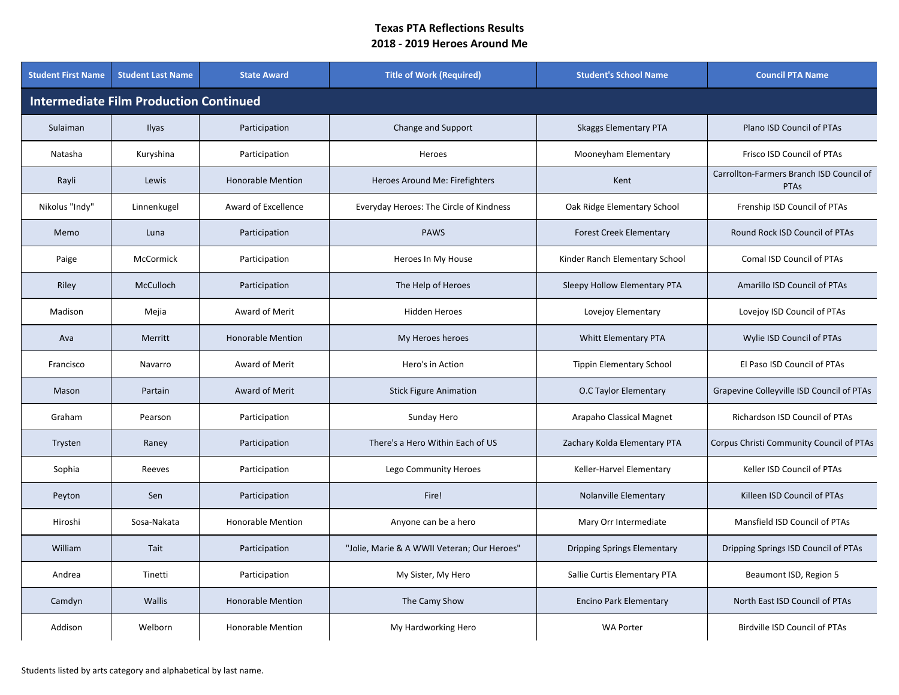| <b>Student First Name</b>                     | <b>Student Last Name</b> | <b>State Award</b>       | <b>Title of Work (Required)</b>             | <b>Student's School Name</b>       | <b>Council PTA Name</b>                          |  |  |  |  |
|-----------------------------------------------|--------------------------|--------------------------|---------------------------------------------|------------------------------------|--------------------------------------------------|--|--|--|--|
| <b>Intermediate Film Production Continued</b> |                          |                          |                                             |                                    |                                                  |  |  |  |  |
| Sulaiman                                      | Ilyas                    | Participation            | Change and Support                          | <b>Skaggs Elementary PTA</b>       | Plano ISD Council of PTAs                        |  |  |  |  |
| Natasha                                       | Kuryshina                | Participation            | Heroes                                      | Mooneyham Elementary               | Frisco ISD Council of PTAs                       |  |  |  |  |
| Rayli                                         | Lewis                    | <b>Honorable Mention</b> | Heroes Around Me: Firefighters              | Kent                               | Carrollton-Farmers Branch ISD Council of<br>PTAs |  |  |  |  |
| Nikolus "Indy"                                | Linnenkugel              | Award of Excellence      | Everyday Heroes: The Circle of Kindness     | Oak Ridge Elementary School        | Frenship ISD Council of PTAs                     |  |  |  |  |
| Memo                                          | Luna                     | Participation            | <b>PAWS</b>                                 | <b>Forest Creek Elementary</b>     | Round Rock ISD Council of PTAs                   |  |  |  |  |
| Paige                                         | McCormick                | Participation            | Heroes In My House                          | Kinder Ranch Elementary School     | Comal ISD Council of PTAs                        |  |  |  |  |
| Riley                                         | McCulloch                | Participation            | The Help of Heroes                          | Sleepy Hollow Elementary PTA       | Amarillo ISD Council of PTAs                     |  |  |  |  |
| Madison                                       | Mejia                    | Award of Merit           | <b>Hidden Heroes</b>                        | Lovejoy Elementary                 | Lovejoy ISD Council of PTAs                      |  |  |  |  |
| Ava                                           | Merritt                  | <b>Honorable Mention</b> | My Heroes heroes                            | Whitt Elementary PTA               | Wylie ISD Council of PTAs                        |  |  |  |  |
| Francisco                                     | Navarro                  | Award of Merit           | Hero's in Action                            | <b>Tippin Elementary School</b>    | El Paso ISD Council of PTAs                      |  |  |  |  |
| Mason                                         | Partain                  | Award of Merit           | <b>Stick Figure Animation</b>               | O.C Taylor Elementary              | Grapevine Colleyville ISD Council of PTAs        |  |  |  |  |
| Graham                                        | Pearson                  | Participation            | Sunday Hero                                 | Arapaho Classical Magnet           | Richardson ISD Council of PTAs                   |  |  |  |  |
| Trysten                                       | Raney                    | Participation            | There's a Hero Within Each of US            | Zachary Kolda Elementary PTA       | Corpus Christi Community Council of PTAs         |  |  |  |  |
| Sophia                                        | Reeves                   | Participation            | Lego Community Heroes                       | Keller-Harvel Elementary           | Keller ISD Council of PTAs                       |  |  |  |  |
| Peyton                                        | Sen                      | Participation            | Fire!                                       | Nolanville Elementary              | Killeen ISD Council of PTAs                      |  |  |  |  |
| Hiroshi                                       | Sosa-Nakata              | <b>Honorable Mention</b> | Anyone can be a hero                        | Mary Orr Intermediate              | Mansfield ISD Council of PTAs                    |  |  |  |  |
| William                                       | Tait                     | Participation            | "Jolie, Marie & A WWII Veteran; Our Heroes" | <b>Dripping Springs Elementary</b> | Dripping Springs ISD Council of PTAs             |  |  |  |  |
| Andrea                                        | Tinetti                  | Participation            | My Sister, My Hero                          | Sallie Curtis Elementary PTA       | Beaumont ISD, Region 5                           |  |  |  |  |
| Camdyn                                        | <b>Wallis</b>            | <b>Honorable Mention</b> | The Camy Show                               | <b>Encino Park Elementary</b>      | North East ISD Council of PTAs                   |  |  |  |  |
| Addison                                       | Welborn                  | <b>Honorable Mention</b> | My Hardworking Hero                         | <b>WA Porter</b>                   | Birdville ISD Council of PTAs                    |  |  |  |  |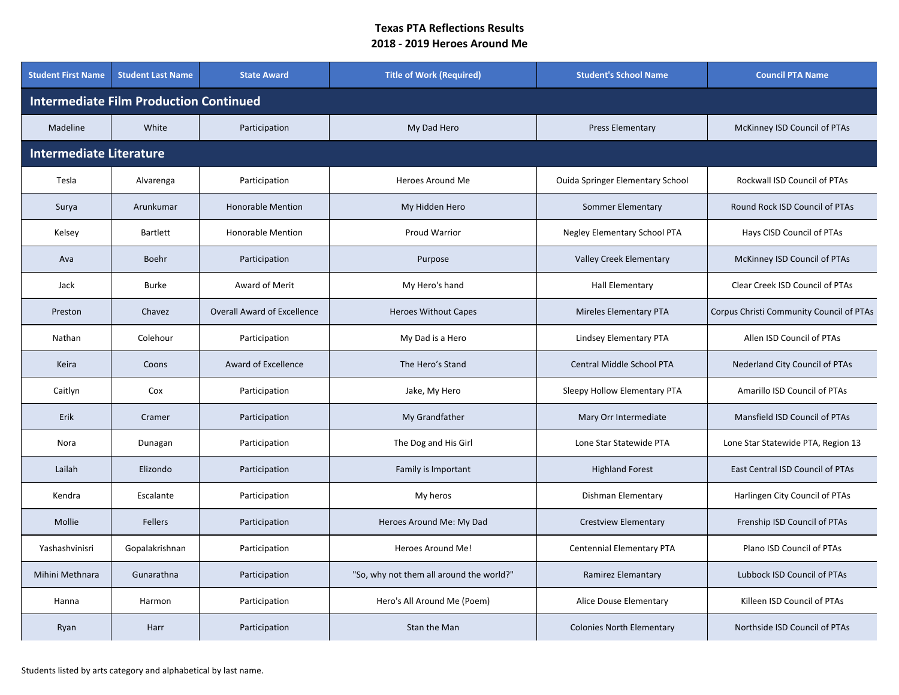| <b>Student First Name</b>                     | <b>Student Last Name</b> | <b>State Award</b>                 | <b>Title of Work (Required)</b>          | <b>Student's School Name</b>            | <b>Council PTA Name</b>                  |  |  |  |
|-----------------------------------------------|--------------------------|------------------------------------|------------------------------------------|-----------------------------------------|------------------------------------------|--|--|--|
| <b>Intermediate Film Production Continued</b> |                          |                                    |                                          |                                         |                                          |  |  |  |
| Madeline                                      | White                    | Participation                      | My Dad Hero                              | <b>Press Elementary</b>                 | McKinney ISD Council of PTAs             |  |  |  |
| <b>Intermediate Literature</b>                |                          |                                    |                                          |                                         |                                          |  |  |  |
| Tesla                                         | Alvarenga                | Participation                      | Heroes Around Me                         | <b>Ouida Springer Elementary School</b> | Rockwall ISD Council of PTAs             |  |  |  |
| Surya                                         | Arunkumar                | <b>Honorable Mention</b>           | My Hidden Hero                           | Sommer Elementary                       | Round Rock ISD Council of PTAs           |  |  |  |
| Kelsey                                        | <b>Bartlett</b>          | <b>Honorable Mention</b>           | Proud Warrior                            | Negley Elementary School PTA            | Hays CISD Council of PTAs                |  |  |  |
| Ava                                           | Boehr                    | Participation                      | Purpose                                  | <b>Valley Creek Elementary</b>          | McKinney ISD Council of PTAs             |  |  |  |
| Jack                                          | <b>Burke</b>             | Award of Merit                     | My Hero's hand                           | <b>Hall Elementary</b>                  | <b>Clear Creek ISD Council of PTAs</b>   |  |  |  |
| Preston                                       | Chavez                   | <b>Overall Award of Excellence</b> | <b>Heroes Without Capes</b>              | <b>Mireles Elementary PTA</b>           | Corpus Christi Community Council of PTAs |  |  |  |
| Nathan                                        | Colehour                 | Participation                      | My Dad is a Hero                         | Lindsey Elementary PTA                  | Allen ISD Council of PTAs                |  |  |  |
| Keira                                         | Coons                    | Award of Excellence                | The Hero's Stand                         | Central Middle School PTA               | Nederland City Council of PTAs           |  |  |  |
| Caitlyn                                       | Cox                      | Participation                      | Jake, My Hero                            | Sleepy Hollow Elementary PTA            | Amarillo ISD Council of PTAs             |  |  |  |
| Erik                                          | Cramer                   | Participation                      | My Grandfather                           | Mary Orr Intermediate                   | Mansfield ISD Council of PTAs            |  |  |  |
| Nora                                          | Dunagan                  | Participation                      | The Dog and His Girl                     | Lone Star Statewide PTA                 | Lone Star Statewide PTA, Region 13       |  |  |  |
| Lailah                                        | Elizondo                 | Participation                      | Family is Important                      | <b>Highland Forest</b>                  | East Central ISD Council of PTAs         |  |  |  |
| Kendra                                        | Escalante                | Participation                      | My heros                                 | Dishman Elementary                      | Harlingen City Council of PTAs           |  |  |  |
| Mollie                                        | <b>Fellers</b>           | Participation                      | Heroes Around Me: My Dad                 | <b>Crestview Elementary</b>             | Frenship ISD Council of PTAs             |  |  |  |
| Yashashvinisri                                | Gopalakrishnan           | Participation                      | Heroes Around Me!                        | Centennial Elementary PTA               | Plano ISD Council of PTAs                |  |  |  |
| Mihini Methnara                               | Gunarathna               | Participation                      | "So, why not them all around the world?" | Ramirez Elemantary                      | Lubbock ISD Council of PTAs              |  |  |  |
| Hanna                                         | Harmon                   | Participation                      | Hero's All Around Me (Poem)              | Alice Douse Elementary                  | Killeen ISD Council of PTAs              |  |  |  |
| Ryan                                          | Harr                     | Participation                      | Stan the Man                             | <b>Colonies North Elementary</b>        | Northside ISD Council of PTAs            |  |  |  |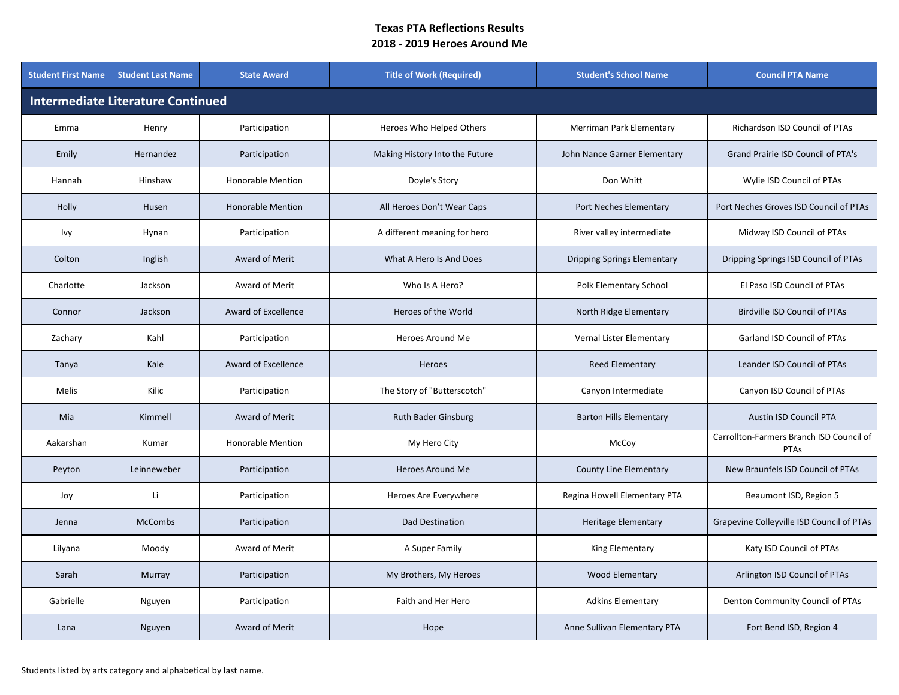| <b>Student First Name</b>                | <b>Student Last Name</b> | <b>State Award</b>       | <b>Title of Work (Required)</b> | <b>Student's School Name</b>       | <b>Council PTA Name</b>                          |  |  |  |
|------------------------------------------|--------------------------|--------------------------|---------------------------------|------------------------------------|--------------------------------------------------|--|--|--|
| <b>Intermediate Literature Continued</b> |                          |                          |                                 |                                    |                                                  |  |  |  |
| Emma                                     | Henry                    | Participation            | Heroes Who Helped Others        | Merriman Park Elementary           | Richardson ISD Council of PTAs                   |  |  |  |
| Emily                                    | Hernandez                | Participation            | Making History Into the Future  | John Nance Garner Elementary       | Grand Prairie ISD Council of PTA's               |  |  |  |
| Hannah                                   | Hinshaw                  | <b>Honorable Mention</b> | Doyle's Story                   | Don Whitt                          | Wylie ISD Council of PTAs                        |  |  |  |
| Holly                                    | Husen                    | <b>Honorable Mention</b> | All Heroes Don't Wear Caps      | Port Neches Elementary             | Port Neches Groves ISD Council of PTAs           |  |  |  |
| Ivy                                      | Hynan                    | Participation            | A different meaning for hero    | River valley intermediate          | Midway ISD Council of PTAs                       |  |  |  |
| Colton                                   | Inglish                  | Award of Merit           | What A Hero Is And Does         | <b>Dripping Springs Elementary</b> | Dripping Springs ISD Council of PTAs             |  |  |  |
| Charlotte                                | Jackson                  | Award of Merit           | Who Is A Hero?                  | Polk Elementary School             | El Paso ISD Council of PTAs                      |  |  |  |
| Connor                                   | Jackson                  | Award of Excellence      | Heroes of the World             | North Ridge Elementary             | <b>Birdville ISD Council of PTAs</b>             |  |  |  |
| Zachary                                  | Kahl                     | Participation            | Heroes Around Me                | Vernal Lister Elementary           | Garland ISD Council of PTAs                      |  |  |  |
| Tanya                                    | Kale                     | Award of Excellence      | Heroes                          | <b>Reed Elementary</b>             | Leander ISD Council of PTAs                      |  |  |  |
| Melis                                    | Kilic                    | Participation            | The Story of "Butterscotch"     | Canyon Intermediate                | Canyon ISD Council of PTAs                       |  |  |  |
| Mia                                      | Kimmell                  | Award of Merit           | <b>Ruth Bader Ginsburg</b>      | <b>Barton Hills Elementary</b>     | <b>Austin ISD Council PTA</b>                    |  |  |  |
| Aakarshan                                | Kumar                    | <b>Honorable Mention</b> | My Hero City                    | McCoy                              | Carrollton-Farmers Branch ISD Council of<br>PTAs |  |  |  |
| Peyton                                   | Leinneweber              | Participation            | <b>Heroes Around Me</b>         | County Line Elementary             | New Braunfels ISD Council of PTAs                |  |  |  |
| Joy                                      | Li                       | Participation            | Heroes Are Everywhere           | Regina Howell Elementary PTA       | Beaumont ISD, Region 5                           |  |  |  |
| Jenna                                    | <b>McCombs</b>           | Participation            | Dad Destination                 | <b>Heritage Elementary</b>         | Grapevine Colleyville ISD Council of PTAs        |  |  |  |
| Lilyana                                  | Moody                    | Award of Merit           | A Super Family                  | King Elementary                    | Katy ISD Council of PTAs                         |  |  |  |
| Sarah                                    | Murray                   | Participation            | My Brothers, My Heroes          | <b>Wood Elementary</b>             | Arlington ISD Council of PTAs                    |  |  |  |
| Gabrielle                                | Nguyen                   | Participation            | Faith and Her Hero              | <b>Adkins Elementary</b>           | Denton Community Council of PTAs                 |  |  |  |
| Lana                                     | Nguyen                   | Award of Merit           | Hope                            | Anne Sullivan Elementary PTA       | Fort Bend ISD, Region 4                          |  |  |  |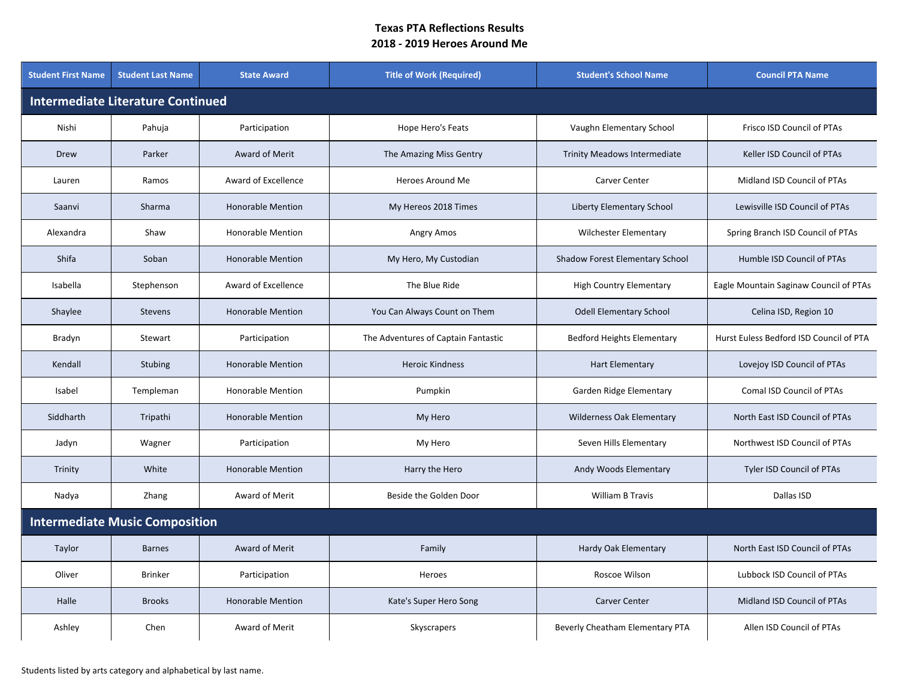| <b>Student First Name</b>                | <b>Student Last Name</b>              | <b>State Award</b>       | <b>Title of Work (Required)</b>     | <b>Student's School Name</b>        | <b>Council PTA Name</b>                 |  |  |  |
|------------------------------------------|---------------------------------------|--------------------------|-------------------------------------|-------------------------------------|-----------------------------------------|--|--|--|
| <b>Intermediate Literature Continued</b> |                                       |                          |                                     |                                     |                                         |  |  |  |
| Nishi                                    | Pahuja                                | Participation            | Hope Hero's Feats                   | Vaughn Elementary School            | Frisco ISD Council of PTAs              |  |  |  |
| Drew                                     | Parker                                | Award of Merit           | The Amazing Miss Gentry             | <b>Trinity Meadows Intermediate</b> | Keller ISD Council of PTAs              |  |  |  |
| Lauren                                   | Ramos                                 | Award of Excellence      | Heroes Around Me                    | Carver Center                       | Midland ISD Council of PTAs             |  |  |  |
| Saanvi                                   | Sharma                                | <b>Honorable Mention</b> | My Hereos 2018 Times                | <b>Liberty Elementary School</b>    | Lewisville ISD Council of PTAs          |  |  |  |
| Alexandra                                | Shaw                                  | <b>Honorable Mention</b> | Angry Amos                          | <b>Wilchester Elementary</b>        | Spring Branch ISD Council of PTAs       |  |  |  |
| <b>Shifa</b>                             | Soban                                 | <b>Honorable Mention</b> | My Hero, My Custodian               | Shadow Forest Elementary School     | Humble ISD Council of PTAs              |  |  |  |
| Isabella                                 | Stephenson                            | Award of Excellence      | The Blue Ride                       | <b>High Country Elementary</b>      | Eagle Mountain Saginaw Council of PTAs  |  |  |  |
| Shaylee                                  | <b>Stevens</b>                        | <b>Honorable Mention</b> | You Can Always Count on Them        | <b>Odell Elementary School</b>      | Celina ISD, Region 10                   |  |  |  |
| Bradyn                                   | Stewart                               | Participation            | The Adventures of Captain Fantastic | <b>Bedford Heights Elementary</b>   | Hurst Euless Bedford ISD Council of PTA |  |  |  |
| Kendall                                  | <b>Stubing</b>                        | <b>Honorable Mention</b> | <b>Heroic Kindness</b>              | <b>Hart Elementary</b>              | Lovejoy ISD Council of PTAs             |  |  |  |
| Isabel                                   | Templeman                             | <b>Honorable Mention</b> | Pumpkin                             | Garden Ridge Elementary             | Comal ISD Council of PTAs               |  |  |  |
| Siddharth                                | Tripathi                              | <b>Honorable Mention</b> | My Hero                             | Wilderness Oak Elementary           | North East ISD Council of PTAs          |  |  |  |
| Jadyn                                    | Wagner                                | Participation            | My Hero                             | Seven Hills Elementary              | Northwest ISD Council of PTAs           |  |  |  |
| Trinity                                  | White                                 | <b>Honorable Mention</b> | Harry the Hero                      | Andy Woods Elementary               | Tyler ISD Council of PTAs               |  |  |  |
| Nadya                                    | Zhang                                 | Award of Merit           | Beside the Golden Door              | <b>William B Travis</b>             | Dallas ISD                              |  |  |  |
|                                          | <b>Intermediate Music Composition</b> |                          |                                     |                                     |                                         |  |  |  |
| Taylor                                   | <b>Barnes</b>                         | Award of Merit           | Family                              | Hardy Oak Elementary                | North East ISD Council of PTAs          |  |  |  |
| Oliver                                   | <b>Brinker</b>                        | Participation            | Heroes                              | Roscoe Wilson                       | Lubbock ISD Council of PTAs             |  |  |  |
| Halle                                    | <b>Brooks</b>                         | <b>Honorable Mention</b> | Kate's Super Hero Song              | Carver Center                       | Midland ISD Council of PTAs             |  |  |  |
| Ashley                                   | Chen                                  | Award of Merit           | Skyscrapers                         | Beverly Cheatham Elementary PTA     | Allen ISD Council of PTAs               |  |  |  |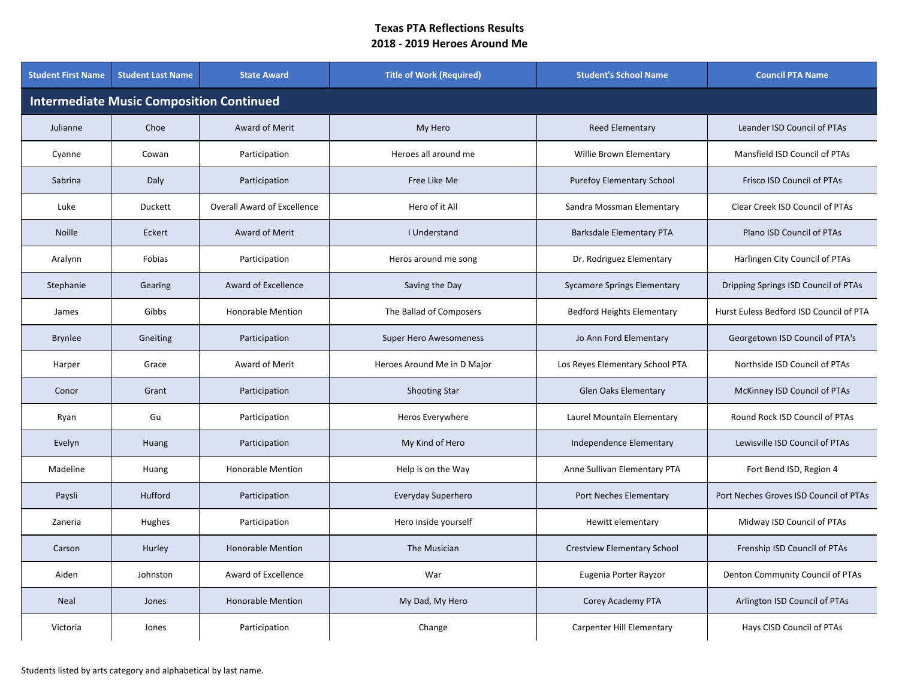| <b>Student First Name</b>                       | <b>Student Last Name</b> | <b>State Award</b>                 | <b>Title of Work (Required)</b> | <b>Student's School Name</b>       | <b>Council PTA Name</b>                 |  |  |  |  |
|-------------------------------------------------|--------------------------|------------------------------------|---------------------------------|------------------------------------|-----------------------------------------|--|--|--|--|
| <b>Intermediate Music Composition Continued</b> |                          |                                    |                                 |                                    |                                         |  |  |  |  |
| Julianne                                        | Choe                     | Award of Merit                     | My Hero                         | <b>Reed Elementary</b>             | Leander ISD Council of PTAs             |  |  |  |  |
| Cyanne                                          | Cowan                    | Participation                      | Heroes all around me            | Willie Brown Elementary            | Mansfield ISD Council of PTAs           |  |  |  |  |
| Sabrina                                         | Daly                     | Participation                      | Free Like Me                    | <b>Purefoy Elementary School</b>   | <b>Frisco ISD Council of PTAs</b>       |  |  |  |  |
| Luke                                            | <b>Duckett</b>           | <b>Overall Award of Excellence</b> | Hero of it All                  | Sandra Mossman Elementary          | Clear Creek ISD Council of PTAs         |  |  |  |  |
| <b>Noille</b>                                   | Eckert                   | Award of Merit                     | I Understand                    | <b>Barksdale Elementary PTA</b>    | Plano ISD Council of PTAs               |  |  |  |  |
| Aralynn                                         | Fobias                   | Participation                      | Heros around me song            | Dr. Rodriguez Elementary           | Harlingen City Council of PTAs          |  |  |  |  |
| Stephanie                                       | Gearing                  | Award of Excellence                | Saving the Day                  | <b>Sycamore Springs Elementary</b> | Dripping Springs ISD Council of PTAs    |  |  |  |  |
| James                                           | Gibbs                    | <b>Honorable Mention</b>           | The Ballad of Composers         | <b>Bedford Heights Elementary</b>  | Hurst Euless Bedford ISD Council of PTA |  |  |  |  |
| <b>Brynlee</b>                                  | Gneiting                 | Participation                      | <b>Super Hero Awesomeness</b>   | Jo Ann Ford Elementary             | Georgetown ISD Council of PTA's         |  |  |  |  |
| Harper                                          | Grace                    | Award of Merit                     | Heroes Around Me in D Major     | Los Reyes Elementary School PTA    | Northside ISD Council of PTAs           |  |  |  |  |
| Conor                                           | Grant                    | Participation                      | <b>Shooting Star</b>            | Glen Oaks Elementary               | McKinney ISD Council of PTAs            |  |  |  |  |
| Ryan                                            | Gu                       | Participation                      | Heros Everywhere                | Laurel Mountain Elementary         | Round Rock ISD Council of PTAs          |  |  |  |  |
| Evelyn                                          | Huang                    | Participation                      | My Kind of Hero                 | Independence Elementary            | Lewisville ISD Council of PTAs          |  |  |  |  |
| Madeline                                        | Huang                    | <b>Honorable Mention</b>           | Help is on the Way              | Anne Sullivan Elementary PTA       | Fort Bend ISD, Region 4                 |  |  |  |  |
| Paysli                                          | Hufford                  | Participation                      | Everyday Superhero              | Port Neches Elementary             | Port Neches Groves ISD Council of PTAs  |  |  |  |  |
| Zaneria                                         | Hughes                   | Participation                      | Hero inside yourself            | Hewitt elementary                  | Midway ISD Council of PTAs              |  |  |  |  |
| Carson                                          | Hurley                   | <b>Honorable Mention</b>           | The Musician                    | <b>Crestview Elementary School</b> | Frenship ISD Council of PTAs            |  |  |  |  |
| Aiden                                           | Johnston                 | Award of Excellence                | War                             | Eugenia Porter Rayzor              | Denton Community Council of PTAs        |  |  |  |  |
| <b>Neal</b>                                     | Jones                    | <b>Honorable Mention</b>           | My Dad, My Hero                 | Corey Academy PTA                  | Arlington ISD Council of PTAs           |  |  |  |  |
| Victoria                                        | Jones                    | Participation                      | Change                          | <b>Carpenter Hill Elementary</b>   | Hays CISD Council of PTAs               |  |  |  |  |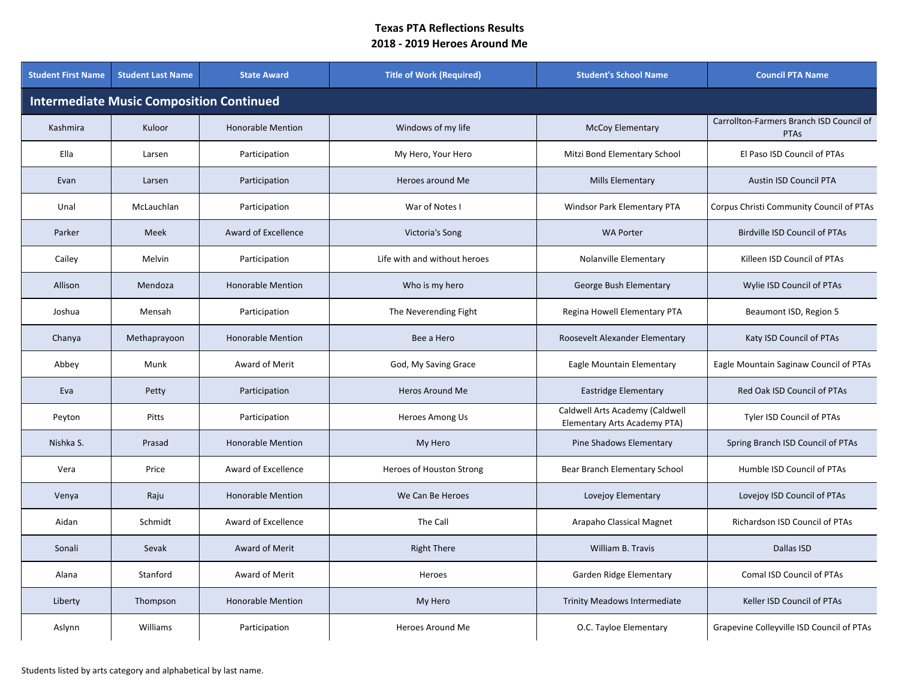| <b>Student First Name</b>                       | <b>Student Last Name</b> | <b>State Award</b>       | <b>Title of Work (Required)</b> | <b>Student's School Name</b>                                    | <b>Council PTA Name</b>                                 |  |  |  |  |
|-------------------------------------------------|--------------------------|--------------------------|---------------------------------|-----------------------------------------------------------------|---------------------------------------------------------|--|--|--|--|
| <b>Intermediate Music Composition Continued</b> |                          |                          |                                 |                                                                 |                                                         |  |  |  |  |
| Kashmira                                        | Kuloor                   | <b>Honorable Mention</b> | Windows of my life              | <b>McCoy Elementary</b>                                         | Carrollton-Farmers Branch ISD Council of<br><b>PTAs</b> |  |  |  |  |
| Ella                                            | Larsen                   | Participation            | My Hero, Your Hero              | Mitzi Bond Elementary School                                    | El Paso ISD Council of PTAs                             |  |  |  |  |
| Evan                                            | Larsen                   | Participation            | Heroes around Me                | <b>Mills Elementary</b>                                         | <b>Austin ISD Council PTA</b>                           |  |  |  |  |
| Unal                                            | McLauchlan               | Participation            | War of Notes I                  | Windsor Park Elementary PTA                                     | Corpus Christi Community Council of PTAs                |  |  |  |  |
| Parker                                          | Meek                     | Award of Excellence      | Victoria's Song                 | <b>WA Porter</b>                                                | Birdville ISD Council of PTAs                           |  |  |  |  |
| Cailey                                          | Melvin                   | Participation            | Life with and without heroes    | Nolanville Elementary                                           | Killeen ISD Council of PTAs                             |  |  |  |  |
| Allison                                         | Mendoza                  | <b>Honorable Mention</b> | Who is my hero                  | George Bush Elementary                                          | Wylie ISD Council of PTAs                               |  |  |  |  |
| Joshua                                          | Mensah                   | Participation            | The Neverending Fight           | Regina Howell Elementary PTA                                    | Beaumont ISD, Region 5                                  |  |  |  |  |
| Chanya                                          | Methaprayoon             | <b>Honorable Mention</b> | Bee a Hero                      | Roosevelt Alexander Elementary                                  | Katy ISD Council of PTAs                                |  |  |  |  |
| Abbey                                           | Munk                     | Award of Merit           | God, My Saving Grace            | Eagle Mountain Elementary                                       | Eagle Mountain Saginaw Council of PTAs                  |  |  |  |  |
| Eva                                             | Petty                    | Participation            | Heros Around Me                 | Eastridge Elementary                                            | Red Oak ISD Council of PTAs                             |  |  |  |  |
| Peyton                                          | Pitts                    | Participation            | Heroes Among Us                 | Caldwell Arts Academy (Caldwell<br>Elementary Arts Academy PTA) | Tyler ISD Council of PTAs                               |  |  |  |  |
| Nishka S.                                       | Prasad                   | <b>Honorable Mention</b> | My Hero                         | Pine Shadows Elementary                                         | Spring Branch ISD Council of PTAs                       |  |  |  |  |
| Vera                                            | Price                    | Award of Excellence      | Heroes of Houston Strong        | Bear Branch Elementary School                                   | Humble ISD Council of PTAs                              |  |  |  |  |
| Venya                                           | Raju                     | <b>Honorable Mention</b> | We Can Be Heroes                | Lovejoy Elementary                                              | Lovejoy ISD Council of PTAs                             |  |  |  |  |
| Aidan                                           | Schmidt                  | Award of Excellence      | The Call                        | Arapaho Classical Magnet                                        | Richardson ISD Council of PTAs                          |  |  |  |  |
| Sonali                                          | Sevak                    | Award of Merit           | <b>Right There</b>              | William B. Travis                                               | Dallas ISD                                              |  |  |  |  |
| Alana                                           | Stanford                 | Award of Merit           | Heroes                          | Garden Ridge Elementary                                         | Comal ISD Council of PTAs                               |  |  |  |  |
| Liberty                                         | Thompson                 | <b>Honorable Mention</b> | My Hero                         | <b>Trinity Meadows Intermediate</b>                             | Keller ISD Council of PTAs                              |  |  |  |  |
| Aslynn                                          | Williams                 | Participation            | Heroes Around Me                | O.C. Tayloe Elementary                                          | Grapevine Colleyville ISD Council of PTAs               |  |  |  |  |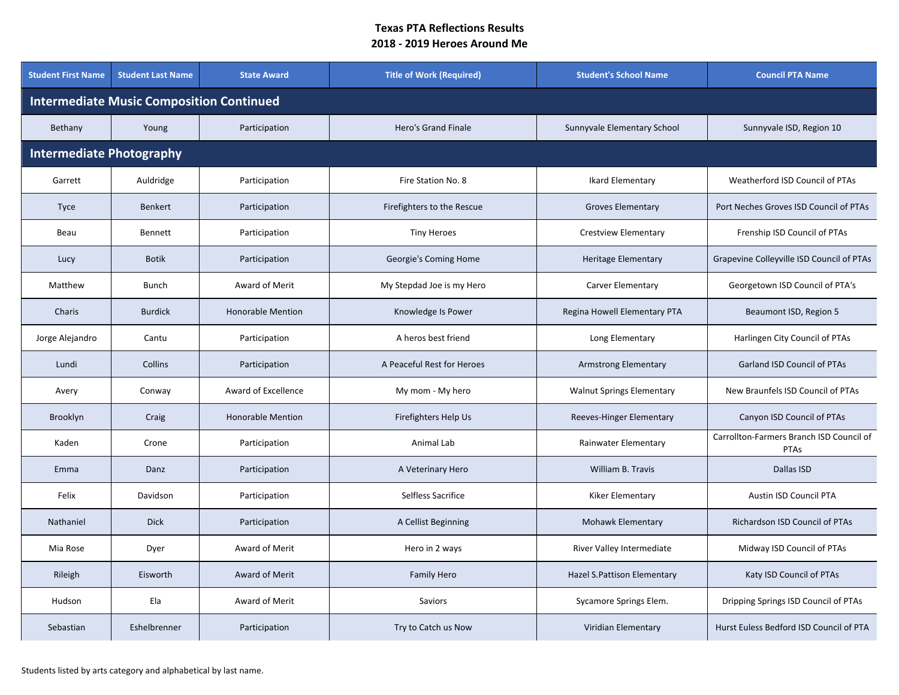| <b>Student First Name</b>                       | <b>Student Last Name</b> | <b>State Award</b>       | <b>Title of Work (Required)</b> | <b>Student's School Name</b>     | <b>Council PTA Name</b>                          |  |  |  |  |
|-------------------------------------------------|--------------------------|--------------------------|---------------------------------|----------------------------------|--------------------------------------------------|--|--|--|--|
| <b>Intermediate Music Composition Continued</b> |                          |                          |                                 |                                  |                                                  |  |  |  |  |
| Bethany                                         | Young                    | Participation            | Hero's Grand Finale             | Sunnyvale Elementary School      | Sunnyvale ISD, Region 10                         |  |  |  |  |
| <b>Intermediate Photography</b>                 |                          |                          |                                 |                                  |                                                  |  |  |  |  |
| Garrett                                         | Auldridge                | Participation            | Fire Station No. 8              | Ikard Elementary                 | Weatherford ISD Council of PTAs                  |  |  |  |  |
| <b>Tyce</b>                                     | <b>Benkert</b>           | Participation            | Firefighters to the Rescue      | <b>Groves Elementary</b>         | Port Neches Groves ISD Council of PTAs           |  |  |  |  |
| Beau                                            | Bennett                  | Participation            | <b>Tiny Heroes</b>              | <b>Crestview Elementary</b>      | Frenship ISD Council of PTAs                     |  |  |  |  |
| Lucy                                            | <b>Botik</b>             | Participation            | Georgie's Coming Home           | <b>Heritage Elementary</b>       | Grapevine Colleyville ISD Council of PTAs        |  |  |  |  |
| Matthew                                         | <b>Bunch</b>             | Award of Merit           | My Stepdad Joe is my Hero       | Carver Elementary                | Georgetown ISD Council of PTA's                  |  |  |  |  |
| Charis                                          | <b>Burdick</b>           | <b>Honorable Mention</b> | Knowledge Is Power              | Regina Howell Elementary PTA     | Beaumont ISD, Region 5                           |  |  |  |  |
| Jorge Alejandro                                 | Cantu                    | Participation            | A heros best friend             | Long Elementary                  | Harlingen City Council of PTAs                   |  |  |  |  |
| Lundi                                           | Collins                  | Participation            | A Peaceful Rest for Heroes      | Armstrong Elementary             | <b>Garland ISD Council of PTAs</b>               |  |  |  |  |
| Avery                                           | Conway                   | Award of Excellence      | My mom - My hero                | <b>Walnut Springs Elementary</b> | New Braunfels ISD Council of PTAs                |  |  |  |  |
| Brooklyn                                        | Craig                    | <b>Honorable Mention</b> | Firefighters Help Us            | Reeves-Hinger Elementary         | Canyon ISD Council of PTAs                       |  |  |  |  |
| Kaden                                           | Crone                    | Participation            | Animal Lab                      | Rainwater Elementary             | Carrollton-Farmers Branch ISD Council of<br>PTAs |  |  |  |  |
| Emma                                            | Danz                     | Participation            | A Veterinary Hero               | William B. Travis                | Dallas ISD                                       |  |  |  |  |
| Felix                                           | Davidson                 | Participation            | Selfless Sacrifice              | Kiker Elementary                 | Austin ISD Council PTA                           |  |  |  |  |
| Nathaniel                                       | <b>Dick</b>              | Participation            | A Cellist Beginning             | Mohawk Elementary                | Richardson ISD Council of PTAs                   |  |  |  |  |
| Mia Rose                                        | Dyer                     | Award of Merit           | Hero in 2 ways                  | River Valley Intermediate        | Midway ISD Council of PTAs                       |  |  |  |  |
| Rileigh                                         | Eisworth                 | Award of Merit           | <b>Family Hero</b>              | Hazel S. Pattison Elementary     | Katy ISD Council of PTAs                         |  |  |  |  |
| Hudson                                          | Ela                      | Award of Merit           | Saviors                         | Sycamore Springs Elem.           | Dripping Springs ISD Council of PTAs             |  |  |  |  |
| Sebastian                                       | Eshelbrenner             | Participation            | Try to Catch us Now             | Viridian Elementary              | Hurst Euless Bedford ISD Council of PTA          |  |  |  |  |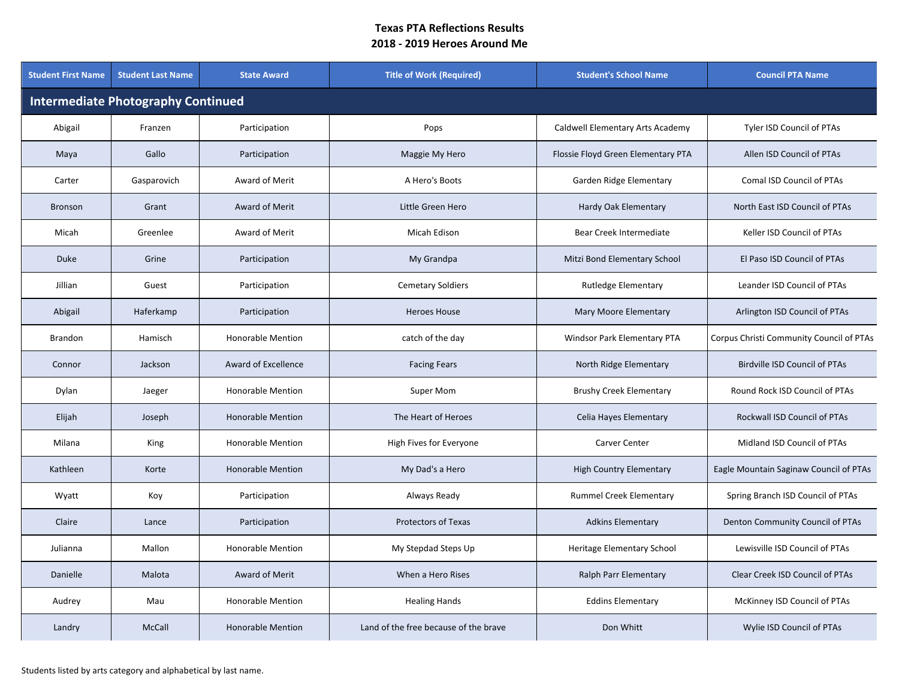| <b>Student First Name</b>                 | <b>Student Last Name</b> | <b>State Award</b>       | <b>Title of Work (Required)</b>       | <b>Student's School Name</b>       | <b>Council PTA Name</b>                  |  |  |  |
|-------------------------------------------|--------------------------|--------------------------|---------------------------------------|------------------------------------|------------------------------------------|--|--|--|
| <b>Intermediate Photography Continued</b> |                          |                          |                                       |                                    |                                          |  |  |  |
| Abigail                                   | Franzen                  | Participation            | Pops                                  | Caldwell Elementary Arts Academy   | Tyler ISD Council of PTAs                |  |  |  |
| Maya                                      | Gallo                    | Participation            | Maggie My Hero                        | Flossie Floyd Green Elementary PTA | Allen ISD Council of PTAs                |  |  |  |
| Carter                                    | Gasparovich              | Award of Merit           | A Hero's Boots                        | Garden Ridge Elementary            | <b>Comal ISD Council of PTAs</b>         |  |  |  |
| <b>Bronson</b>                            | Grant                    | Award of Merit           | Little Green Hero                     | Hardy Oak Elementary               | North East ISD Council of PTAs           |  |  |  |
| Micah                                     | Greenlee                 | Award of Merit           | <b>Micah Edison</b>                   | Bear Creek Intermediate            | Keller ISD Council of PTAs               |  |  |  |
| <b>Duke</b>                               | Grine                    | Participation            | My Grandpa                            | Mitzi Bond Elementary School       | El Paso ISD Council of PTAs              |  |  |  |
| Jillian                                   | Guest                    | Participation            | <b>Cemetary Soldiers</b>              | <b>Rutledge Elementary</b>         | Leander ISD Council of PTAs              |  |  |  |
| Abigail                                   | Haferkamp                | Participation            | <b>Heroes House</b>                   | Mary Moore Elementary              | Arlington ISD Council of PTAs            |  |  |  |
| <b>Brandon</b>                            | Hamisch                  | <b>Honorable Mention</b> | catch of the day                      | Windsor Park Elementary PTA        | Corpus Christi Community Council of PTAs |  |  |  |
| Connor                                    | Jackson                  | Award of Excellence      | <b>Facing Fears</b>                   | North Ridge Elementary             | <b>Birdville ISD Council of PTAs</b>     |  |  |  |
| Dylan                                     | Jaeger                   | <b>Honorable Mention</b> | Super Mom                             | <b>Brushy Creek Elementary</b>     | Round Rock ISD Council of PTAs           |  |  |  |
| Elijah                                    | Joseph                   | <b>Honorable Mention</b> | The Heart of Heroes                   | Celia Hayes Elementary             | Rockwall ISD Council of PTAs             |  |  |  |
| Milana                                    | King                     | <b>Honorable Mention</b> | High Fives for Everyone               | Carver Center                      | Midland ISD Council of PTAs              |  |  |  |
| Kathleen                                  | Korte                    | <b>Honorable Mention</b> | My Dad's a Hero                       | <b>High Country Elementary</b>     | Eagle Mountain Saginaw Council of PTAs   |  |  |  |
| Wyatt                                     | Koy                      | Participation            | Always Ready                          | Rummel Creek Elementary            | Spring Branch ISD Council of PTAs        |  |  |  |
| Claire                                    | Lance                    | Participation            | <b>Protectors of Texas</b>            | <b>Adkins Elementary</b>           | Denton Community Council of PTAs         |  |  |  |
| Julianna                                  | Mallon                   | <b>Honorable Mention</b> | My Stepdad Steps Up                   | Heritage Elementary School         | Lewisville ISD Council of PTAs           |  |  |  |
| Danielle                                  | Malota                   | Award of Merit           | When a Hero Rises                     | Ralph Parr Elementary              | Clear Creek ISD Council of PTAs          |  |  |  |
| Audrey                                    | Mau                      | <b>Honorable Mention</b> | <b>Healing Hands</b>                  | <b>Eddins Elementary</b>           | McKinney ISD Council of PTAs             |  |  |  |
| Landry                                    | McCall                   | <b>Honorable Mention</b> | Land of the free because of the brave | Don Whitt                          | Wylie ISD Council of PTAs                |  |  |  |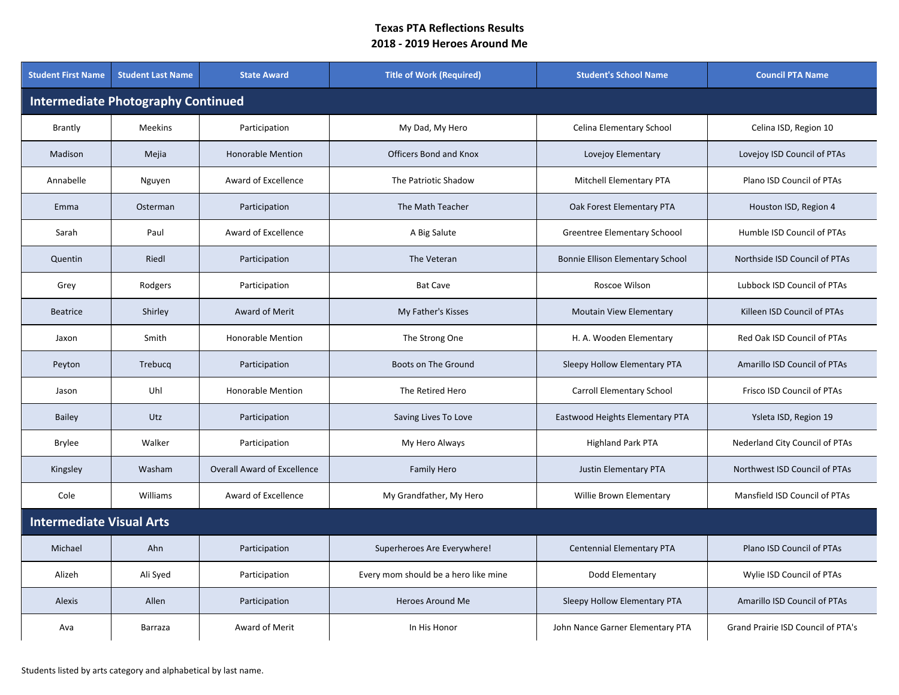| <b>Student First Name</b>                 | <b>Student Last Name</b>        | <b>State Award</b>                 | <b>Title of Work (Required)</b>      | <b>Student's School Name</b>     | <b>Council PTA Name</b>            |  |  |  |  |
|-------------------------------------------|---------------------------------|------------------------------------|--------------------------------------|----------------------------------|------------------------------------|--|--|--|--|
| <b>Intermediate Photography Continued</b> |                                 |                                    |                                      |                                  |                                    |  |  |  |  |
| <b>Brantly</b>                            | Meekins                         | Participation                      | My Dad, My Hero                      | Celina Elementary School         | Celina ISD, Region 10              |  |  |  |  |
| Madison                                   | Mejia                           | <b>Honorable Mention</b>           | <b>Officers Bond and Knox</b>        | Lovejoy Elementary               | Lovejoy ISD Council of PTAs        |  |  |  |  |
| Annabelle                                 | Nguyen                          | Award of Excellence                | The Patriotic Shadow                 | <b>Mitchell Elementary PTA</b>   | Plano ISD Council of PTAs          |  |  |  |  |
| Emma                                      | Osterman                        | Participation                      | The Math Teacher                     | Oak Forest Elementary PTA        | Houston ISD, Region 4              |  |  |  |  |
| Sarah                                     | Paul                            | Award of Excellence                | A Big Salute                         | Greentree Elementary Schoool     | Humble ISD Council of PTAs         |  |  |  |  |
| Quentin                                   | Riedl                           | Participation                      | The Veteran                          | Bonnie Ellison Elementary School | Northside ISD Council of PTAs      |  |  |  |  |
| Grey                                      | Rodgers                         | Participation                      | <b>Bat Cave</b>                      | Roscoe Wilson                    | Lubbock ISD Council of PTAs        |  |  |  |  |
| <b>Beatrice</b>                           | Shirley                         | Award of Merit                     | My Father's Kisses                   | Moutain View Elementary          | Killeen ISD Council of PTAs        |  |  |  |  |
| Jaxon                                     | Smith                           | <b>Honorable Mention</b>           | The Strong One                       | H. A. Wooden Elementary          | Red Oak ISD Council of PTAs        |  |  |  |  |
| Peyton                                    | Trebucq                         | Participation                      | Boots on The Ground                  | Sleepy Hollow Elementary PTA     | Amarillo ISD Council of PTAs       |  |  |  |  |
| Jason                                     | Uhl                             | <b>Honorable Mention</b>           | The Retired Hero                     | <b>Carroll Elementary School</b> | Frisco ISD Council of PTAs         |  |  |  |  |
| <b>Bailey</b>                             | Utz                             | Participation                      | Saving Lives To Love                 | Eastwood Heights Elementary PTA  | Ysleta ISD, Region 19              |  |  |  |  |
| Brylee                                    | Walker                          | Participation                      | My Hero Always                       | <b>Highland Park PTA</b>         | Nederland City Council of PTAs     |  |  |  |  |
| Kingsley                                  | Washam                          | <b>Overall Award of Excellence</b> | <b>Family Hero</b>                   | Justin Elementary PTA            | Northwest ISD Council of PTAs      |  |  |  |  |
| Cole                                      | Williams                        | Award of Excellence                | My Grandfather, My Hero              | Willie Brown Elementary          | Mansfield ISD Council of PTAs      |  |  |  |  |
|                                           | <b>Intermediate Visual Arts</b> |                                    |                                      |                                  |                                    |  |  |  |  |
| Michael                                   | Ahn                             | Participation                      | Superheroes Are Everywhere!          | Centennial Elementary PTA        | Plano ISD Council of PTAs          |  |  |  |  |
| Alizeh                                    | Ali Syed                        | Participation                      | Every mom should be a hero like mine | Dodd Elementary                  | Wylie ISD Council of PTAs          |  |  |  |  |
| <b>Alexis</b>                             | Allen                           | Participation                      | <b>Heroes Around Me</b>              | Sleepy Hollow Elementary PTA     | Amarillo ISD Council of PTAs       |  |  |  |  |
| Ava                                       | Barraza                         | Award of Merit                     | In His Honor                         | John Nance Garner Elementary PTA | Grand Prairie ISD Council of PTA's |  |  |  |  |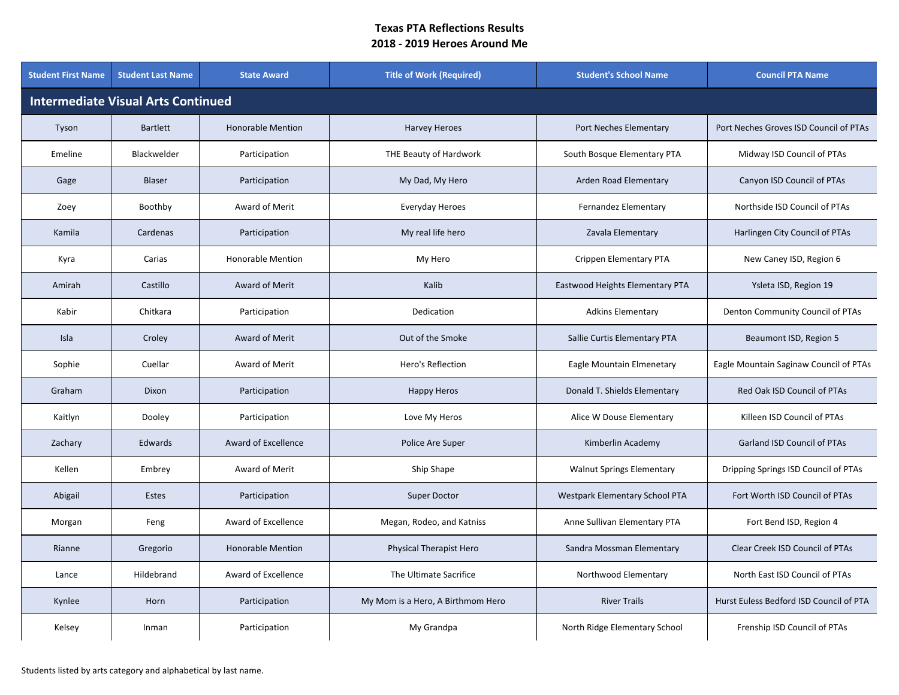| <b>Student First Name</b>                 | <b>Student Last Name</b> | <b>State Award</b>       | <b>Title of Work (Required)</b>   | <b>Student's School Name</b>     | <b>Council PTA Name</b>                 |  |  |  |
|-------------------------------------------|--------------------------|--------------------------|-----------------------------------|----------------------------------|-----------------------------------------|--|--|--|
| <b>Intermediate Visual Arts Continued</b> |                          |                          |                                   |                                  |                                         |  |  |  |
| Tyson                                     | <b>Bartlett</b>          | <b>Honorable Mention</b> | <b>Harvey Heroes</b>              | Port Neches Elementary           | Port Neches Groves ISD Council of PTAs  |  |  |  |
| Emeline                                   | Blackwelder              | Participation            | THE Beauty of Hardwork            | South Bosque Elementary PTA      | Midway ISD Council of PTAs              |  |  |  |
| Gage                                      | <b>Blaser</b>            | Participation            | My Dad, My Hero                   | Arden Road Elementary            | Canyon ISD Council of PTAs              |  |  |  |
| Zoey                                      | Boothby                  | Award of Merit           | Everyday Heroes                   | Fernandez Elementary             | Northside ISD Council of PTAs           |  |  |  |
| Kamila                                    | Cardenas                 | Participation            | My real life hero                 | Zavala Elementary                | Harlingen City Council of PTAs          |  |  |  |
| Kyra                                      | Carias                   | <b>Honorable Mention</b> | My Hero                           | Crippen Elementary PTA           | New Caney ISD, Region 6                 |  |  |  |
| Amirah                                    | Castillo                 | Award of Merit           | Kalib                             | Eastwood Heights Elementary PTA  | Ysleta ISD, Region 19                   |  |  |  |
| Kabir                                     | Chitkara                 | Participation            | Dedication                        | <b>Adkins Elementary</b>         | Denton Community Council of PTAs        |  |  |  |
| Isla                                      | Croley                   | Award of Merit           | Out of the Smoke                  | Sallie Curtis Elementary PTA     | Beaumont ISD, Region 5                  |  |  |  |
| Sophie                                    | Cuellar                  | Award of Merit           | Hero's Reflection                 | Eagle Mountain Elmenetary        | Eagle Mountain Saginaw Council of PTAs  |  |  |  |
| Graham                                    | Dixon                    | Participation            | <b>Happy Heros</b>                | Donald T. Shields Elementary     | Red Oak ISD Council of PTAs             |  |  |  |
| Kaitlyn                                   | Dooley                   | Participation            | Love My Heros                     | Alice W Douse Elementary         | Killeen ISD Council of PTAs             |  |  |  |
| Zachary                                   | Edwards                  | Award of Excellence      | Police Are Super                  | Kimberlin Academy                | Garland ISD Council of PTAs             |  |  |  |
| Kellen                                    | Embrey                   | Award of Merit           | Ship Shape                        | <b>Walnut Springs Elementary</b> | Dripping Springs ISD Council of PTAs    |  |  |  |
| Abigail                                   | Estes                    | Participation            | Super Doctor                      | Westpark Elementary School PTA   | Fort Worth ISD Council of PTAs          |  |  |  |
| Morgan                                    | Feng                     | Award of Excellence      | Megan, Rodeo, and Katniss         | Anne Sullivan Elementary PTA     | Fort Bend ISD, Region 4                 |  |  |  |
| Rianne                                    | Gregorio                 | <b>Honorable Mention</b> | Physical Therapist Hero           | Sandra Mossman Elementary        | Clear Creek ISD Council of PTAs         |  |  |  |
| Lance                                     | Hildebrand               | Award of Excellence      | The Ultimate Sacrifice            | Northwood Elementary             | North East ISD Council of PTAs          |  |  |  |
| Kynlee                                    | Horn                     | Participation            | My Mom is a Hero, A Birthmom Hero | <b>River Trails</b>              | Hurst Euless Bedford ISD Council of PTA |  |  |  |
| Kelsey                                    | Inman                    | Participation            | My Grandpa                        | North Ridge Elementary School    | Frenship ISD Council of PTAs            |  |  |  |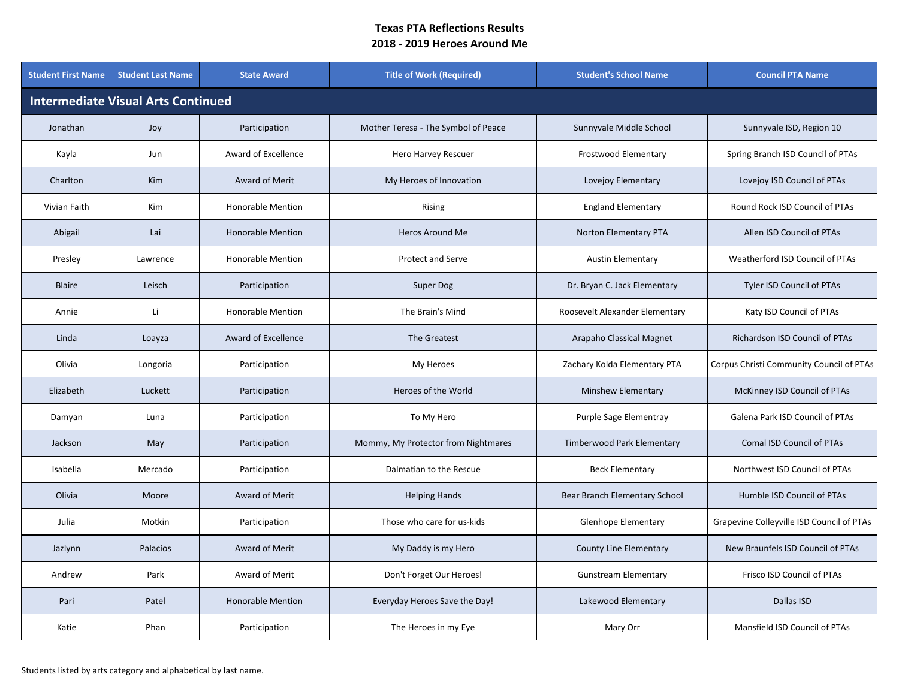| <b>Student First Name</b>                 | <b>Student Last Name</b> | <b>State Award</b>       | <b>Title of Work (Required)</b>     | <b>Student's School Name</b>   | <b>Council PTA Name</b>                   |  |  |  |
|-------------------------------------------|--------------------------|--------------------------|-------------------------------------|--------------------------------|-------------------------------------------|--|--|--|
| <b>Intermediate Visual Arts Continued</b> |                          |                          |                                     |                                |                                           |  |  |  |
| Jonathan                                  | Joy                      | Participation            | Mother Teresa - The Symbol of Peace | Sunnyvale Middle School        | Sunnyvale ISD, Region 10                  |  |  |  |
| Kayla                                     | Jun                      | Award of Excellence      | Hero Harvey Rescuer                 | <b>Frostwood Elementary</b>    | Spring Branch ISD Council of PTAs         |  |  |  |
| Charlton                                  | <b>Kim</b>               | Award of Merit           | My Heroes of Innovation             | Lovejoy Elementary             | Lovejoy ISD Council of PTAs               |  |  |  |
| Vivian Faith                              | <b>Kim</b>               | <b>Honorable Mention</b> | Rising                              | <b>England Elementary</b>      | Round Rock ISD Council of PTAs            |  |  |  |
| Abigail                                   | Lai                      | <b>Honorable Mention</b> | <b>Heros Around Me</b>              | Norton Elementary PTA          | Allen ISD Council of PTAs                 |  |  |  |
| Presley                                   | Lawrence                 | <b>Honorable Mention</b> | <b>Protect and Serve</b>            | <b>Austin Elementary</b>       | Weatherford ISD Council of PTAs           |  |  |  |
| <b>Blaire</b>                             | Leisch                   | Participation            | <b>Super Dog</b>                    | Dr. Bryan C. Jack Elementary   | <b>Tyler ISD Council of PTAs</b>          |  |  |  |
| Annie                                     | Li                       | <b>Honorable Mention</b> | The Brain's Mind                    | Roosevelt Alexander Elementary | Katy ISD Council of PTAs                  |  |  |  |
| Linda                                     | Loayza                   | Award of Excellence      | The Greatest                        | Arapaho Classical Magnet       | <b>Richardson ISD Council of PTAs</b>     |  |  |  |
| Olivia                                    | Longoria                 | Participation            | My Heroes                           | Zachary Kolda Elementary PTA   | Corpus Christi Community Council of PTAs  |  |  |  |
| Elizabeth                                 | Luckett                  | Participation            | Heroes of the World                 | Minshew Elementary             | McKinney ISD Council of PTAs              |  |  |  |
| Damyan                                    | Luna                     | Participation            | To My Hero                          | Purple Sage Elementray         | Galena Park ISD Council of PTAs           |  |  |  |
| Jackson                                   | May                      | Participation            | Mommy, My Protector from Nightmares | Timberwood Park Elementary     | Comal ISD Council of PTAs                 |  |  |  |
| Isabella                                  | Mercado                  | Participation            | Dalmatian to the Rescue             | <b>Beck Elementary</b>         | Northwest ISD Council of PTAs             |  |  |  |
| Olivia                                    | Moore                    | Award of Merit           | <b>Helping Hands</b>                | Bear Branch Elementary School  | Humble ISD Council of PTAs                |  |  |  |
| Julia                                     | Motkin                   | Participation            | Those who care for us-kids          | <b>Glenhope Elementary</b>     | Grapevine Colleyville ISD Council of PTAs |  |  |  |
| Jazlynn                                   | Palacios                 | Award of Merit           | My Daddy is my Hero                 | <b>County Line Elementary</b>  | New Braunfels ISD Council of PTAs         |  |  |  |
| Andrew                                    | Park                     | Award of Merit           | Don't Forget Our Heroes!            | <b>Gunstream Elementary</b>    | Frisco ISD Council of PTAs                |  |  |  |
| Pari                                      | Patel                    | <b>Honorable Mention</b> | Everyday Heroes Save the Day!       | Lakewood Elementary            | Dallas ISD                                |  |  |  |
| Katie                                     | Phan                     | Participation            | The Heroes in my Eye                | Mary Orr                       | Mansfield ISD Council of PTAs             |  |  |  |